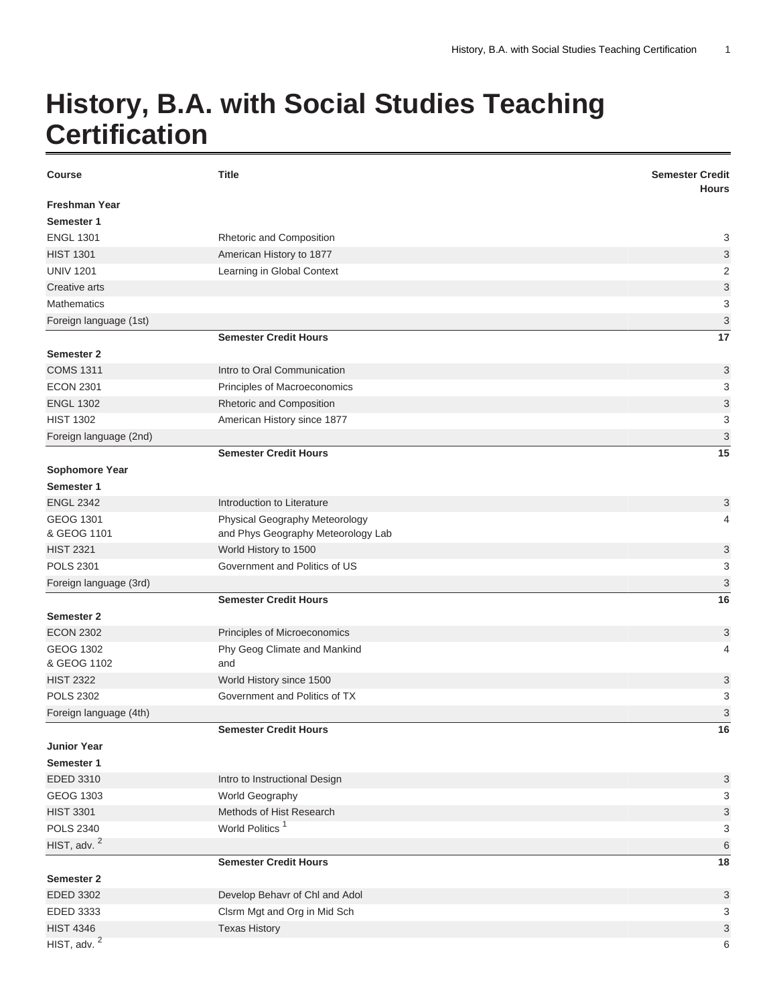## **History, B.A. with Social Studies Teaching Certification**

| <b>Course</b>           | <b>Title</b>                       | <b>Semester Credit</b><br><b>Hours</b> |
|-------------------------|------------------------------------|----------------------------------------|
| <b>Freshman Year</b>    |                                    |                                        |
| Semester 1              |                                    |                                        |
| <b>ENGL 1301</b>        | Rhetoric and Composition           | 3                                      |
| <b>HIST 1301</b>        | American History to 1877           | 3                                      |
| <b>UNIV 1201</b>        | Learning in Global Context         | 2                                      |
| Creative arts           |                                    | 3                                      |
| <b>Mathematics</b>      |                                    | 3                                      |
| Foreign language (1st)  |                                    | $\ensuremath{\mathsf{3}}$              |
|                         | <b>Semester Credit Hours</b>       | 17                                     |
| Semester 2              |                                    |                                        |
| <b>COMS 1311</b>        | Intro to Oral Communication        | 3                                      |
| <b>ECON 2301</b>        | Principles of Macroeconomics       | 3                                      |
| <b>ENGL 1302</b>        | Rhetoric and Composition           | $\ensuremath{\mathsf{3}}$              |
| <b>HIST 1302</b>        | American History since 1877        | 3                                      |
| Foreign language (2nd)  |                                    | $\ensuremath{\mathsf{3}}$              |
|                         | <b>Semester Credit Hours</b>       | 15                                     |
| Sophomore Year          |                                    |                                        |
| Semester 1              |                                    |                                        |
| <b>ENGL 2342</b>        | Introduction to Literature         | 3                                      |
| <b>GEOG 1301</b>        | Physical Geography Meteorology     | 4                                      |
| & GEOG 1101             | and Phys Geography Meteorology Lab |                                        |
| <b>HIST 2321</b>        | World History to 1500              | 3                                      |
| <b>POLS 2301</b>        | Government and Politics of US      | 3                                      |
| Foreign language (3rd)  |                                    | 3                                      |
|                         | <b>Semester Credit Hours</b>       | 16                                     |
| Semester 2              |                                    |                                        |
| <b>ECON 2302</b>        | Principles of Microeconomics       | 3                                      |
| GEOG 1302               | Phy Geog Climate and Mankind       | 4                                      |
| & GEOG 1102             | and                                |                                        |
| <b>HIST 2322</b>        | World History since 1500           | 3                                      |
| <b>POLS 2302</b>        | Government and Politics of TX      | 3                                      |
| Foreign language (4th)  |                                    | 3                                      |
|                         | <b>Semester Credit Hours</b>       | $16\,$                                 |
| <b>Junior Year</b>      |                                    |                                        |
| Semester 1              |                                    |                                        |
| EDED 3310               | Intro to Instructional Design      | 3                                      |
| GEOG 1303               | World Geography                    | 3                                      |
| <b>HIST 3301</b>        | Methods of Hist Research           | $\ensuremath{\mathsf{3}}$              |
| POLS 2340               | World Politics <sup>1</sup>        | 3                                      |
| HIST, adv. <sup>2</sup> |                                    | 6                                      |
|                         | <b>Semester Credit Hours</b>       | 18                                     |
| Semester 2              |                                    |                                        |
| EDED 3302               | Develop Behavr of Chl and Adol     | $\ensuremath{\mathsf{3}}$              |
| EDED 3333               | Clsrm Mgt and Org in Mid Sch       | 3                                      |
| <b>HIST 4346</b>        | <b>Texas History</b>               | $\ensuremath{\mathsf{3}}$              |
| HIST, adv. <sup>2</sup> |                                    | 6                                      |